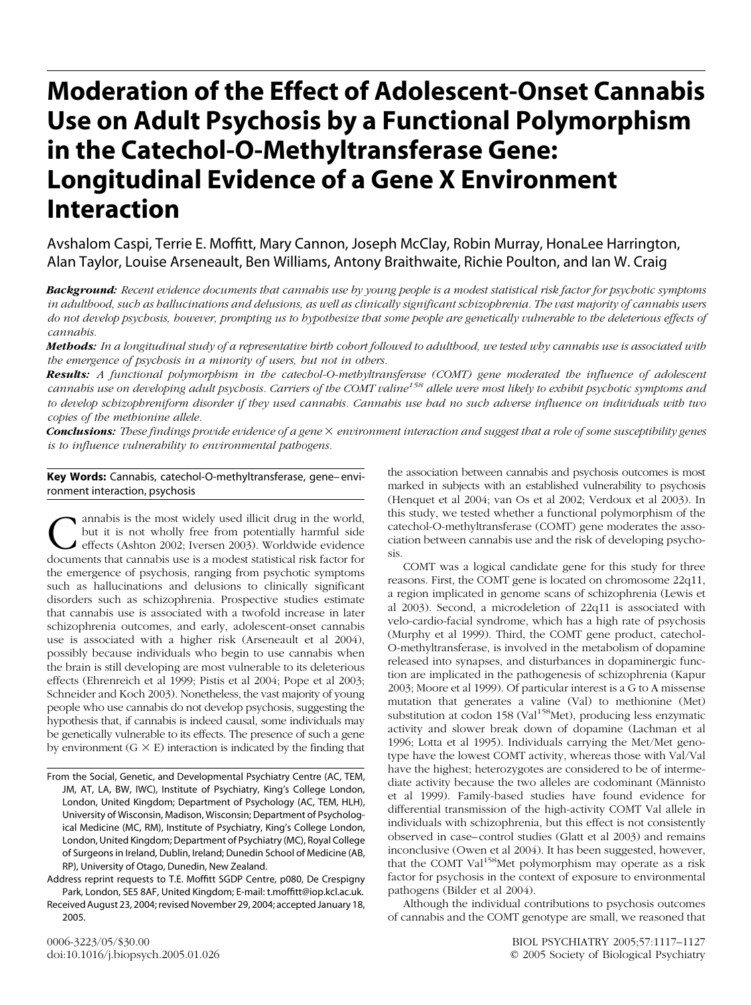# **Moderation of the Effect of Adolescent-Onset Cannabis Use on Adult Psychosis by a Functional Polymorphism in the Catechol-O-Methyltransferase Gene: Longitudinal Evidence of a Gene X Environment Interaction**

Avshalom Caspi, Terrie E. Moffitt, Mary Cannon, Joseph McClay, Robin Murray, HonaLee Harrington, Alan Taylor, Louise Arseneault, Ben Williams, Antony Braithwaite, Richie Poulton, and Ian W. Craig

*Background: Recent evidence documents that cannabis use by young people is a modest statistical risk factor for psychotic symptoms in adulthood, such as hallucinations and delusions, as well as clinically significant schizophrenia. The vast majority of cannabis users do not develop psychosis, however, prompting us to hypothesize that some people are genetically vulnerable to the deleterious effects of cannabis.*

*Methods: In a longitudinal study of a representative birth cohort followed to adulthood, we tested why cannabis use is associated with the emergence of psychosis in a minority of users, but not in others.*

*Results: A functional polymorphism in the catechol-O-methyltransferase (COMT) gene moderated the influence of adolescent cannabis use on developing adult psychosis. Carriers of the COMT valine158 allele were most likely to exhibit psychotic symptoms and to develop schizophreniform disorder if they used cannabis. Cannabis use had no such adverse influence on individuals with two copies of the methionine allele.*

*Conclusions: These findings provide evidence of a gene environment interaction and suggest that a role of some susceptibility genes is to influence vulnerability to environmental pathogens.*

## **Key Words:** Cannabis, catechol-O-methyltransferase, gene– environment interaction, psychosis

annabis is the most widely used illicit drug in the world, but it is not wholly free from potentially harmful side effects (Ashton 2002; Iversen 2003). Worldwide evidence documents that cannabis use is a modest statistical risk factor for the emergence of psychosis, ranging from psychotic symptoms such as hallucinations and delusions to clinically significant disorders such as schizophrenia. Prospective studies estimate that cannabis use is associated with a twofold increase in later schizophrenia outcomes, and early, adolescent-onset cannabis use is associated with a higher risk [\(Arseneault et al 2004\)](#page-9-0), possibly because individuals who begin to use cannabis when the brain is still developing are most vulnerable to its deleterious effects [\(Ehrenreich et al 1999;](#page-9-0) [Pistis et al 2004; Pope et al 2003;](#page-10-0) [Schneider and Koch 2003\)](#page-10-0). Nonetheless, the vast majority of young people who use cannabis do not develop psychosis, suggesting the hypothesis that, if cannabis is indeed causal, some individuals may be genetically vulnerable to its effects. The presence of such a gene by environment  $(G \times E)$  interaction is indicated by the finding that

Address reprint requests to T.E. Moffitt SGDP Centre, p080, De Crespigny Park, London, SE5 8AF, United Kingdom; E-mail: t.moffitt@iop.kcl.ac.uk.

Received August 23, 2004; revised November 29, 2004; accepted January 18, 2005.

the association between cannabis and psychosis outcomes is most marked in subjects with an established vulnerability to psychosis [\(Henquet et al 2004;](#page-9-0) [van Os et al 2002; Verdoux et al 2003\)](#page-10-0). In this study, we tested whether a functional polymorphism of the catechol-O-methyltransferase (COMT) gene moderates the association between cannabis use and the risk of developing psychosis.

COMT was a logical candidate gene for this study for three reasons. First, the COMT gene is located on chromosome 22q11, a region implicated in genome scans of schizophrenia [\(Lewis et](#page-9-0) [al 2003\)](#page-9-0). Second, a microdeletion of 22q11 is associated with velo-cardio-facial syndrome, which has a high rate of psychosis [\(Murphy et al 1999\)](#page-10-0). Third, the COMT gene product, catechol-O-methyltransferase, is involved in the metabolism of dopamine released into synapses, and disturbances in dopaminergic function are implicated in the pathogenesis of schizophrenia [\(Kapur](#page-9-0) [2003;](#page-9-0) [Moore et al 1999\)](#page-10-0). Of particular interest is a G to A missense mutation that generates a valine (Val) to methionine (Met) substitution at codon 158 (Val<sup>158</sup>Met), producing less enzymatic activity and slower break down of dopamine [\(Lachman et al](#page-9-0) [1996;](#page-9-0) [Lotta et al 1995\)](#page-10-0). Individuals carrying the Met/Met genotype have the lowest COMT activity, whereas those with Val/Val have the highest; heterozygotes are considered to be of intermediate activity because the two alleles are codominant [\(Männisto](#page-10-0) [et al 1999\)](#page-10-0). Family-based studies have found evidence for differential transmission of the high-activity COMT Val allele in individuals with schizophrenia, but this effect is not consistently observed in case– control studies [\(Glatt et al 2003\)](#page-9-0) and remains inconclusive [\(Owen et al 2004\)](#page-10-0). It has been suggested, however, that the COMT Val<sup>158</sup>Met polymorphism may operate as a risk factor for psychosis in the context of exposure to environmental pathogens [\(Bilder et al 2004\)](#page-9-0).

Although the individual contributions to psychosis outcomes of cannabis and the COMT genotype are small, we reasoned that

From the Social, Genetic, and Developmental Psychiatry Centre (AC, TEM, JM, AT, LA, BW, IWC), Institute of Psychiatry, King's College London, London, United Kingdom; Department of Psychology (AC, TEM, HLH), University of Wisconsin, Madison, Wisconsin; Department of Psychological Medicine (MC, RM), Institute of Psychiatry, King's College London, London, United Kingdom; Department of Psychiatry (MC), Royal College of Surgeons in Ireland, Dublin, Ireland; Dunedin School of Medicine (AB, RP), University of Otago, Dunedin, New Zealand.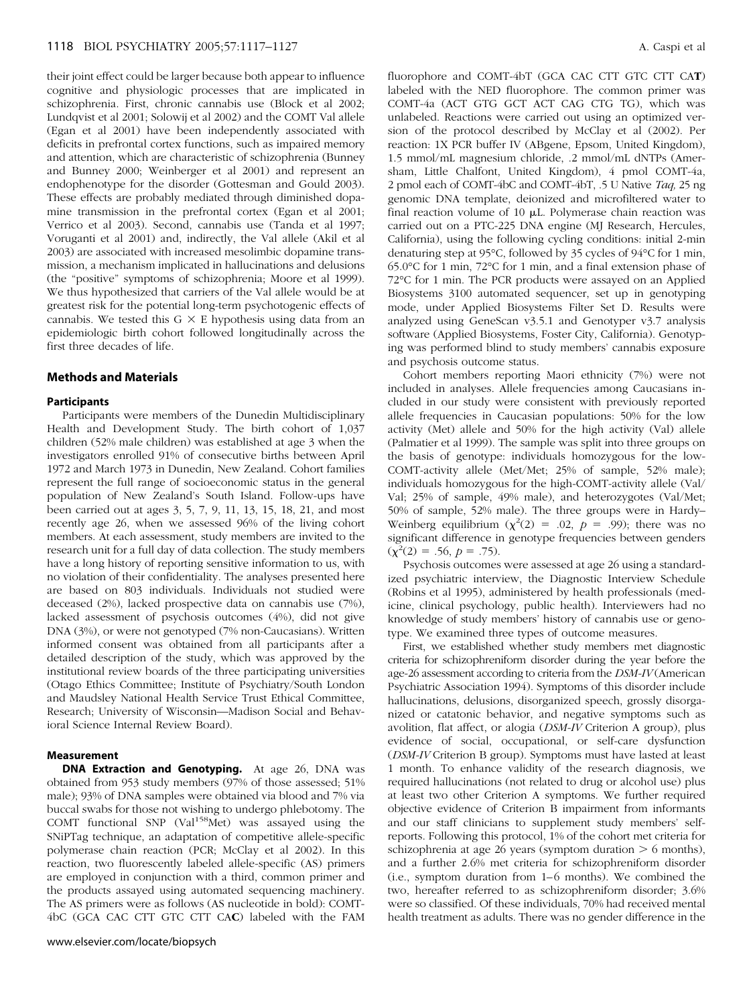their joint effect could be larger because both appear to influence cognitive and physiologic processes that are implicated in schizophrenia. First, chronic cannabis use [\(Block et al 2002;](#page-9-0) [Lundqvist et al 2001; Solowij et al 2002\)](#page-10-0) and the COMT Val allele [\(Egan et al 2001\)](#page-9-0) have been independently associated with deficits in prefrontal cortex functions, such as impaired memory and attention, which are characteristic of schizophrenia [\(Bunney](#page-9-0) [and Bunney 2000;](#page-9-0) [Weinberger et al 2001\)](#page-10-0) and represent an endophenotype for the disorder [\(Gottesman and Gould 2003\)](#page-9-0). These effects are probably mediated through diminished dopamine transmission in the prefrontal cortex [\(Egan et al 2001;](#page-9-0) [Verrico et al 2003\)](#page-10-0). Second, cannabis use [\(Tanda et al 1997;](#page-10-0) [Voruganti et al 2001\)](#page-10-0) and, indirectly, the Val allele [\(Akil et al](#page-9-0) [2003\)](#page-9-0) are associated with increased mesolimbic dopamine transmission, a mechanism implicated in hallucinations and delusions (the "positive" symptoms of schizophrenia; [Moore et al 1999\)](#page-10-0). We thus hypothesized that carriers of the Val allele would be at greatest risk for the potential long-term psychotogenic effects of cannabis. We tested this  $G \times E$  hypothesis using data from an epidemiologic birth cohort followed longitudinally across the first three decades of life.

## **Methods and Materials**

#### **Participants**

Participants were members of the Dunedin Multidisciplinary Health and Development Study. The birth cohort of 1,037 children (52% male children) was established at age 3 when the investigators enrolled 91% of consecutive births between April 1972 and March 1973 in Dunedin, New Zealand. Cohort families represent the full range of socioeconomic status in the general population of New Zealand's South Island. Follow-ups have been carried out at ages 3, 5, 7, 9, 11, 13, 15, 18, 21, and most recently age 26, when we assessed 96% of the living cohort members. At each assessment, study members are invited to the research unit for a full day of data collection. The study members have a long history of reporting sensitive information to us, with no violation of their confidentiality. The analyses presented here are based on 803 individuals. Individuals not studied were deceased (2%), lacked prospective data on cannabis use (7%), lacked assessment of psychosis outcomes (4%), did not give DNA (3%), or were not genotyped (7% non-Caucasians). Written informed consent was obtained from all participants after a detailed description of the study, which was approved by the institutional review boards of the three participating universities (Otago Ethics Committee; Institute of Psychiatry/South London and Maudsley National Health Service Trust Ethical Committee, Research; University of Wisconsin—Madison Social and Behavioral Science Internal Review Board).

## **Measurement**

**DNA Extraction and Genotyping.** At age 26, DNA was obtained from 953 study members (97% of those assessed; 51% male); 93% of DNA samples were obtained via blood and 7% via buccal swabs for those not wishing to undergo phlebotomy. The COMT functional SNP (Val<sup>158</sup>Met) was assayed using the SNiPTag technique, an adaptation of competitive allele-specific polymerase chain reaction (PCR; [McClay et al 2002\)](#page-10-0). In this reaction, two fluorescently labeled allele-specific (AS) primers are employed in conjunction with a third, common primer and the products assayed using automated sequencing machinery. The AS primers were as follows (AS nucleotide in bold): COMT-4bC (GCA CAC CTT GTC CTT CA**C**) labeled with the FAM

fluorophore and COMT-4bT (GCA CAC CTT GTC CTT CA**T**) labeled with the NED fluorophore. The common primer was COMT-4a (ACT GTG GCT ACT CAG CTG TG), which was unlabeled. Reactions were carried out using an optimized version of the protocol described by [McClay et al \(2002\).](#page-10-0) Per reaction: 1X PCR buffer IV (ABgene, Epsom, United Kingdom), 1.5 mmol/mL magnesium chloride, .2 mmol/mL dNTPs (Amersham, Little Chalfont, United Kingdom), 4 pmol COMT-4a, 2 pmol each of COMT-4bC and COMT-4bT, .5 U Native *Taq,* 25 ng genomic DNA template, deionized and microfiltered water to final reaction volume of  $10 \mu L$ . Polymerase chain reaction was carried out on a PTC-225 DNA engine (MJ Research, Hercules, California), using the following cycling conditions: initial 2-min denaturing step at 95°C, followed by 35 cycles of 94°C for 1 min, 65.0°C for 1 min, 72°C for 1 min, and a final extension phase of 72°C for 1 min. The PCR products were assayed on an Applied Biosystems 3100 automated sequencer, set up in genotyping mode, under Applied Biosystems Filter Set D. Results were analyzed using GeneScan v3.5.1 and Genotyper v3.7 analysis software (Applied Biosystems, Foster City, California). Genotyping was performed blind to study members' cannabis exposure and psychosis outcome status.

Cohort members reporting Maori ethnicity (7%) were not included in analyses. Allele frequencies among Caucasians included in our study were consistent with previously reported allele frequencies in Caucasian populations: 50% for the low activity (Met) allele and 50% for the high activity (Val) allele [\(Palmatier et al 1999\)](#page-10-0). The sample was split into three groups on the basis of genotype: individuals homozygous for the low-COMT-activity allele (Met/Met; 25% of sample, 52% male); individuals homozygous for the high-COMT-activity allele (Val/ Val; 25% of sample, 49% male), and heterozygotes (Val/Met; 50% of sample, 52% male). The three groups were in Hardy– Weinberg equilibrium  $(\chi^2(2) = .02, p = .99)$ ; there was no significant difference in genotype frequencies between genders  $(\chi^2(2) = .56, p = .75).$ 

Psychosis outcomes were assessed at age 26 using a standardized psychiatric interview, the Diagnostic Interview Schedule [\(Robins et al 1995\)](#page-10-0), administered by health professionals (medicine, clinical psychology, public health). Interviewers had no knowledge of study members' history of cannabis use or genotype. We examined three types of outcome measures.

First, we established whether study members met diagnostic criteria for schizophreniform disorder during the year before the age-26 assessment according to criteria from the *DSM-IV* [\(American](#page-9-0) [Psychiatric Association 1994\)](#page-9-0). Symptoms of this disorder include hallucinations, delusions, disorganized speech, grossly disorganized or catatonic behavior, and negative symptoms such as avolition, flat affect, or alogia (*DSM-IV* Criterion A group), plus evidence of social, occupational, or self-care dysfunction (*DSM-IV* Criterion B group). Symptoms must have lasted at least 1 month. To enhance validity of the research diagnosis, we required hallucinations (not related to drug or alcohol use) plus at least two other Criterion A symptoms. We further required objective evidence of Criterion B impairment from informants and our staff clinicians to supplement study members' selfreports. Following this protocol, 1% of the cohort met criteria for schizophrenia at age 26 years (symptom duration  $> 6$  months), and a further 2.6% met criteria for schizophreniform disorder  $(i.e.,$  symptom duration from  $1-6$  months). We combined the two, hereafter referred to as schizophreniform disorder; 3.6% were so classified. Of these individuals, 70% had received mental health treatment as adults. There was no gender difference in the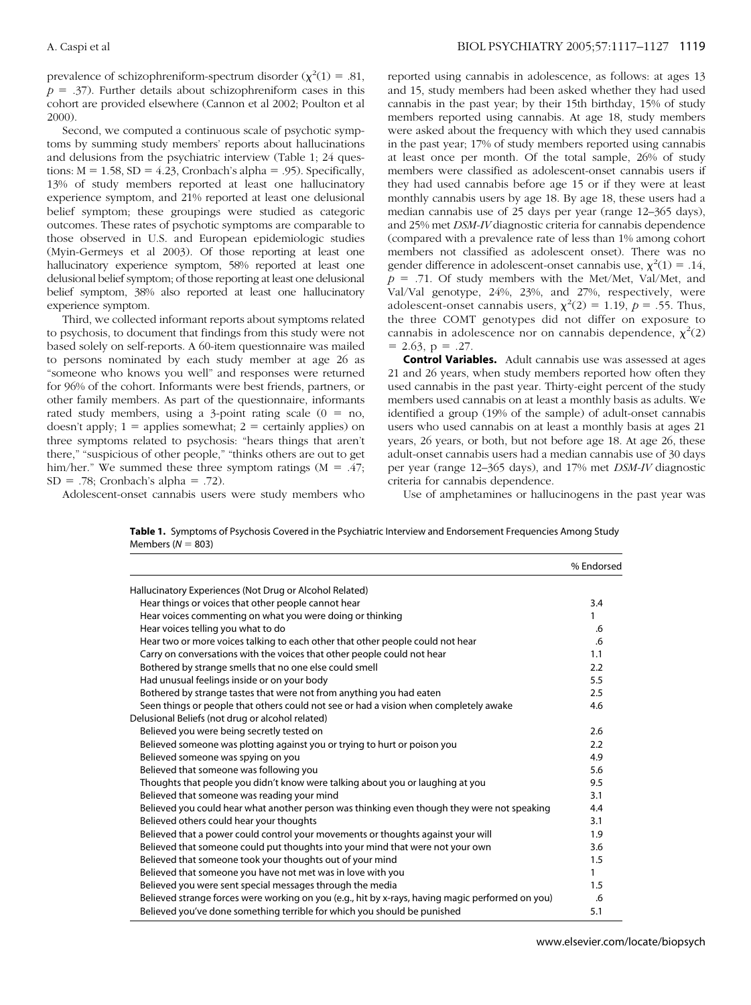prevalence of schizophreniform-spectrum disorder  $(\chi^2(1) = .81,$  $p = .37$ ). Further details about schizophreniform cases in this cohort are provided elsewhere [\(Cannon et al 2002;](#page-9-0) [Poulton et al](#page-10-0) [2000\)](#page-10-0).

Second, we computed a continuous scale of psychotic symptoms by summing study members' reports about hallucinations and delusions from the psychiatric interview (Table 1; 24 questions:  $M = 1.58$ ,  $SD = 4.23$ , Cronbach's alpha = .95). Specifically, 13% of study members reported at least one hallucinatory experience symptom, and 21% reported at least one delusional belief symptom; these groupings were studied as categoric outcomes. These rates of psychotic symptoms are comparable to those observed in U.S. and European epidemiologic studies [\(Myin-Germeys et al 2003\)](#page-10-0). Of those reporting at least one hallucinatory experience symptom, 58% reported at least one delusional belief symptom; of those reporting at least one delusional belief symptom, 38% also reported at least one hallucinatory experience symptom.

Third, we collected informant reports about symptoms related to psychosis, to document that findings from this study were not based solely on self-reports. A 60-item questionnaire was mailed to persons nominated by each study member at age 26 as "someone who knows you well" and responses were returned for 96% of the cohort. Informants were best friends, partners, or other family members. As part of the questionnaire, informants rated study members, using a 3-point rating scale  $(0 = no,$ doesn't apply;  $1 =$  applies somewhat;  $2 =$  certainly applies) on three symptoms related to psychosis: "hears things that aren't there," "suspicious of other people," "thinks others are out to get him/her." We summed these three symptom ratings  $(M = .47;$  $SD = .78$ ; Cronbach's alpha = .72).

reported using cannabis in adolescence, as follows: at ages 13 and 15, study members had been asked whether they had used cannabis in the past year; by their 15th birthday, 15% of study members reported using cannabis. At age 18, study members were asked about the frequency with which they used cannabis in the past year; 17% of study members reported using cannabis at least once per month. Of the total sample, 26% of study members were classified as adolescent-onset cannabis users if they had used cannabis before age 15 or if they were at least monthly cannabis users by age 18. By age 18, these users had a median cannabis use of 25 days per year (range 12–365 days), and 25% met *DSM-IV* diagnostic criteria for cannabis dependence (compared with a prevalence rate of less than 1% among cohort members not classified as adolescent onset). There was no gender difference in adolescent-onset cannabis use,  $\chi^2(1) = .14$ ,  $p = .71$ . Of study members with the Met/Met, Val/Met, and Val/Val genotype, 24%, 23%, and 27%, respectively, were adolescent-onset cannabis users,  $\chi^2(2) = 1.19$ ,  $p = .55$ . Thus, the three COMT genotypes did not differ on exposure to cannabis in adolescence nor on cannabis dependence,  $\chi^2(2)$  $= 2.63$ ,  $p = .27$ .

**Control Variables.** Adult cannabis use was assessed at ages 21 and 26 years, when study members reported how often they used cannabis in the past year. Thirty-eight percent of the study members used cannabis on at least a monthly basis as adults. We identified a group (19% of the sample) of adult-onset cannabis users who used cannabis on at least a monthly basis at ages 21 years, 26 years, or both, but not before age 18. At age 26, these adult-onset cannabis users had a median cannabis use of 30 days per year (range 12–365 days), and 17% met *DSM-IV* diagnostic criteria for cannabis dependence.

Adolescent-onset cannabis users were study members who

Use of amphetamines or hallucinogens in the past year was

**Table 1.** Symptoms of Psychosis Covered in the Psychiatric Interview and Endorsement Frequencies Among Study Members  $(N = 803)$ 

|                                                                                                  | % Endorsed   |
|--------------------------------------------------------------------------------------------------|--------------|
| Hallucinatory Experiences (Not Drug or Alcohol Related)                                          |              |
| Hear things or voices that other people cannot hear                                              | 3.4          |
| Hear voices commenting on what you were doing or thinking                                        | 1            |
| Hear voices telling you what to do                                                               | .6           |
| Hear two or more voices talking to each other that other people could not hear                   | .6           |
| Carry on conversations with the voices that other people could not hear                          | 1.1          |
| Bothered by strange smells that no one else could smell                                          | 2.2          |
| Had unusual feelings inside or on your body                                                      | 5.5          |
| Bothered by strange tastes that were not from anything you had eaten                             | 2.5          |
| Seen things or people that others could not see or had a vision when completely awake            | 4.6          |
| Delusional Beliefs (not drug or alcohol related)                                                 |              |
| Believed you were being secretly tested on                                                       | 2.6          |
| Believed someone was plotting against you or trying to hurt or poison you                        | 2.2          |
| Believed someone was spying on you                                                               | 4.9          |
| Believed that someone was following you                                                          | 5.6          |
| Thoughts that people you didn't know were talking about you or laughing at you                   | 9.5          |
| Believed that someone was reading your mind                                                      | 3.1          |
| Believed you could hear what another person was thinking even though they were not speaking      | 4.4          |
| Believed others could hear your thoughts                                                         | 3.1          |
| Believed that a power could control your movements or thoughts against your will                 | 1.9          |
| Believed that someone could put thoughts into your mind that were not your own                   | 3.6          |
| Believed that someone took your thoughts out of your mind                                        | 1.5          |
| Believed that someone you have not met was in love with you                                      | $\mathbf{1}$ |
| Believed you were sent special messages through the media                                        | 1.5          |
| Believed strange forces were working on you (e.g., hit by x-rays, having magic performed on you) | .6           |
| Believed you've done something terrible for which you should be punished                         | 5.1          |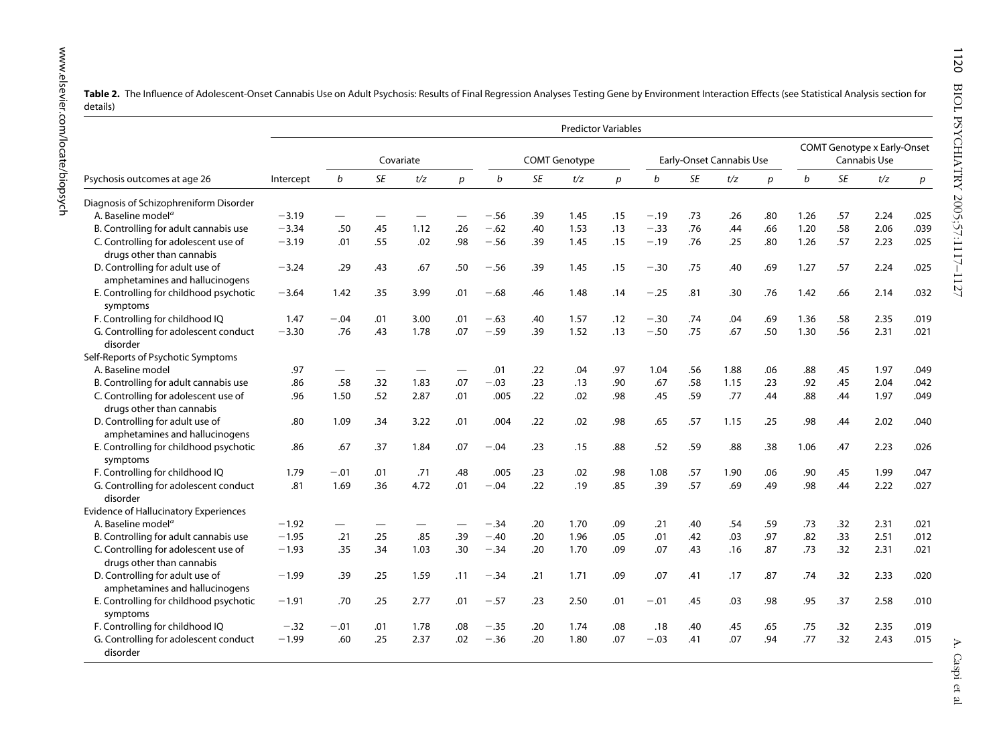| uetalis)                                                          |           |                          |     |           |                  |                      |     |                            |     |                          |     |      |     |                                                    |     |      |      |
|-------------------------------------------------------------------|-----------|--------------------------|-----|-----------|------------------|----------------------|-----|----------------------------|-----|--------------------------|-----|------|-----|----------------------------------------------------|-----|------|------|
|                                                                   |           |                          |     |           |                  |                      |     | <b>Predictor Variables</b> |     |                          |     |      |     |                                                    |     |      |      |
|                                                                   |           |                          |     | Covariate |                  | <b>COMT Genotype</b> |     |                            |     | Early-Onset Cannabis Use |     |      |     | <b>COMT Genotype x Early-Onset</b><br>Cannabis Use |     |      |      |
| Psychosis outcomes at age 26                                      | Intercept | b                        | SE  | t/z       | $\boldsymbol{p}$ | b                    | SE  | t/z                        | p   | b                        | SE  | t/z  | p   | $\boldsymbol{b}$                                   | SE  | t/z  | р    |
| Diagnosis of Schizophreniform Disorder                            |           |                          |     |           |                  |                      |     |                            |     |                          |     |      |     |                                                    |     |      |      |
| A. Baseline model <sup>a</sup>                                    | $-3.19$   |                          |     |           |                  | $-.56$               | .39 | 1.45                       | .15 | $-.19$                   | .73 | .26  | .80 | 1.26                                               | .57 | 2.24 | .025 |
| B. Controlling for adult cannabis use                             | $-3.34$   | .50                      | .45 | 1.12      | .26              | $-.62$               | .40 | 1.53                       | .13 | $-.33$                   | .76 | .44  | .66 | 1.20                                               | .58 | 2.06 | .039 |
| C. Controlling for adolescent use of<br>drugs other than cannabis | $-3.19$   | .01                      | .55 | .02       | .98              | $-.56$               | .39 | 1.45                       | .15 | $-.19$                   | .76 | .25  | .80 | 1.26                                               | .57 | 2.23 | .025 |
| D. Controlling for adult use of<br>amphetamines and hallucinogens | $-3.24$   | .29                      | .43 | .67       | .50              | $-.56$               | .39 | 1.45                       | .15 | $-.30$                   | .75 | .40  | .69 | 1.27                                               | .57 | 2.24 | .025 |
| E. Controlling for childhood psychotic<br>symptoms                | $-3.64$   | 1.42                     | .35 | 3.99      | .01              | $-.68$               | .46 | 1.48                       | .14 | $-.25$                   | .81 | .30  | .76 | 1.42                                               | .66 | 2.14 | .032 |
| F. Controlling for childhood IQ                                   | 1.47      | $-.04$                   | .01 | 3.00      | .01              | $-.63$               | .40 | 1.57                       | .12 | $-.30$                   | .74 | .04  | .69 | 1.36                                               | .58 | 2.35 | .019 |
| G. Controlling for adolescent conduct<br>disorder                 | $-3.30$   | .76                      | .43 | 1.78      | .07              | $-.59$               | .39 | 1.52                       | .13 | $-.50$                   | .75 | .67  | .50 | 1.30                                               | .56 | 2.31 | .021 |
| Self-Reports of Psychotic Symptoms                                |           |                          |     |           |                  |                      |     |                            |     |                          |     |      |     |                                                    |     |      |      |
| A. Baseline model                                                 | .97       | $\overline{\phantom{0}}$ |     |           |                  | .01                  | .22 | .04                        | .97 | 1.04                     | .56 | 1.88 | .06 | .88                                                | .45 | 1.97 | .049 |
| B. Controlling for adult cannabis use                             | .86       | .58                      | .32 | 1.83      | .07              | $-.03$               | .23 | .13                        | .90 | .67                      | .58 | 1.15 | .23 | .92                                                | .45 | 2.04 | .042 |
| C. Controlling for adolescent use of<br>drugs other than cannabis | .96       | 1.50                     | .52 | 2.87      | .01              | .005                 | .22 | .02                        | .98 | .45                      | .59 | .77  | .44 | .88                                                | .44 | 1.97 | .049 |
| D. Controlling for adult use of<br>amphetamines and hallucinogens | .80       | 1.09                     | .34 | 3.22      | .01              | .004                 | .22 | .02                        | .98 | .65                      | .57 | 1.15 | .25 | .98                                                | .44 | 2.02 | .040 |
| E. Controlling for childhood psychotic<br>symptoms                | .86       | .67                      | .37 | 1.84      | .07              | $-.04$               | .23 | .15                        | .88 | .52                      | .59 | .88  | .38 | 1.06                                               | .47 | 2.23 | .026 |
| F. Controlling for childhood IQ                                   | 1.79      | $-.01$                   | .01 | .71       | .48              | .005                 | .23 | .02                        | .98 | 1.08                     | .57 | 1.90 | .06 | .90                                                | .45 | 1.99 | .047 |
| G. Controlling for adolescent conduct                             | .81       | 1.69                     | .36 | 4.72      | .01              | $-.04$               | .22 | .19                        | .85 | .39                      | .57 | .69  | .49 | .98                                                | .44 | 2.22 | .027 |
| disorder                                                          |           |                          |     |           |                  |                      |     |                            |     |                          |     |      |     |                                                    |     |      |      |
| <b>Evidence of Hallucinatory Experiences</b>                      |           |                          |     |           |                  |                      |     |                            |     |                          |     |      |     |                                                    |     |      |      |
| A. Baseline model <sup>a</sup>                                    | $-1.92$   | $\overline{\phantom{0}}$ |     |           |                  | $-.34$               | .20 | 1.70                       | .09 | .21                      | .40 | .54  | .59 | .73                                                | .32 | 2.31 | .021 |
| B. Controlling for adult cannabis use                             | $-1.95$   | .21                      | .25 | .85       | .39              | $-.40$               | .20 | 1.96                       | .05 | .01                      | .42 | .03  | .97 | .82                                                | .33 | 2.51 | .012 |
| C. Controlling for adolescent use of<br>drugs other than cannabis | $-1.93$   | .35                      | .34 | 1.03      | .30              | $-.34$               | .20 | 1.70                       | .09 | .07                      | .43 | .16  | .87 | .73                                                | .32 | 2.31 | .021 |
| D. Controlling for adult use of<br>amphetamines and hallucinogens | $-1.99$   | .39                      | .25 | 1.59      | .11              | $-.34$               | .21 | 1.71                       | .09 | .07                      | .41 | .17  | .87 | .74                                                | .32 | 2.33 | .020 |
| E. Controlling for childhood psychotic<br>symptoms                | $-1.91$   | .70                      | .25 | 2.77      | .01              | $-.57$               | .23 | 2.50                       | .01 | $-.01$                   | .45 | .03  | .98 | .95                                                | .37 | 2.58 | .010 |
| F. Controlling for childhood IQ                                   | $-.32$    | $-.01$                   | .01 | 1.78      | .08              | $-.35$               | .20 | 1.74                       | .08 | .18                      | .40 | .45  | .65 | .75                                                | .32 | 2.35 | .019 |
| G. Controlling for adolescent conduct                             | $-1.99$   | .60                      | .25 | 2.37      | .02              | $-.36$               | .20 | 1.80                       | .07 | $-.03$                   | .41 | .07  | .94 | .77                                                | .32 | 2.43 | .015 |

<span id="page-3-0"></span>**Table 2.** The Influence of Adolescent-Onset Cannabis Use on Adult Psychosis: Results of Final Regression Analyses Testing Gene by Environment Interaction Effects (see Statistical Analysis section for details)

disorder

1120

BIOL PSYCHIATRY 2005;57:1117–1127

BIOL PSYCHIATRY 2005;57:1117-1127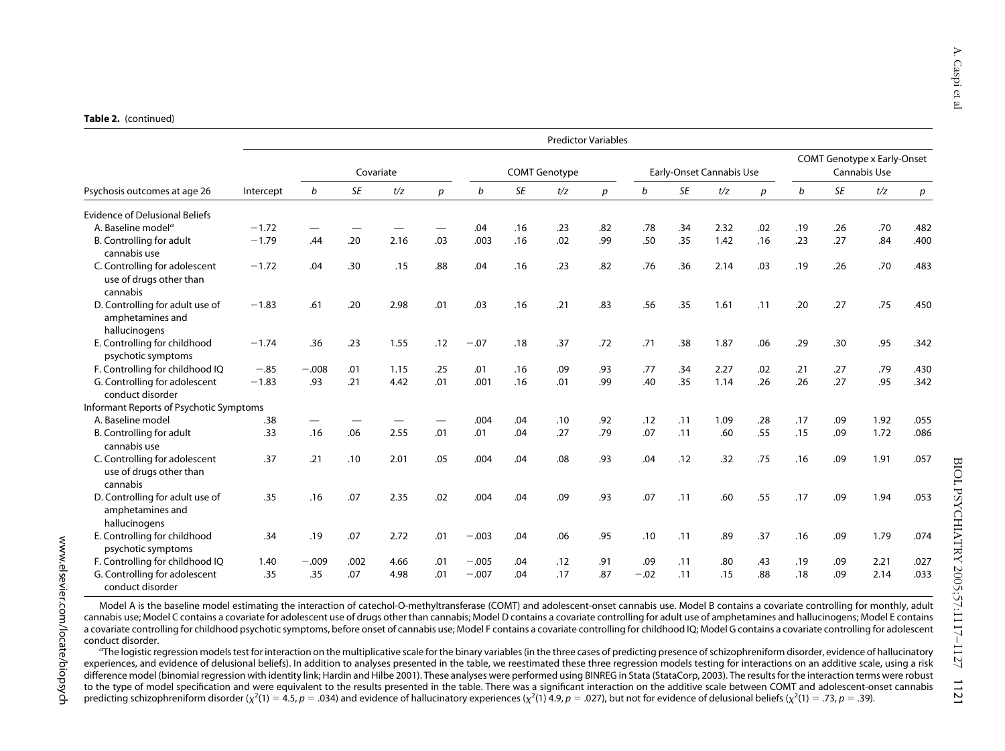#### **Table 2.** (continued)

|                                                                      | <b>Predictor Variables</b> |                  |           |      |     |         |                      |     |     |        |                          |      |     |     |                                                    |      |      |  |
|----------------------------------------------------------------------|----------------------------|------------------|-----------|------|-----|---------|----------------------|-----|-----|--------|--------------------------|------|-----|-----|----------------------------------------------------|------|------|--|
|                                                                      |                            |                  | Covariate |      |     |         | <b>COMT Genotype</b> |     |     |        | Early-Onset Cannabis Use |      |     |     | <b>COMT Genotype x Early-Onset</b><br>Cannabis Use |      |      |  |
| Psychosis outcomes at age 26                                         | Intercept                  | $\boldsymbol{b}$ | SE        | t/z  | p   | b       | <b>SE</b>            | t/z | p   | b      | <b>SE</b>                | t/z  | p   | b   | SE                                                 | t/z  | p    |  |
| <b>Evidence of Delusional Beliefs</b>                                |                            |                  |           |      |     |         |                      |     |     |        |                          |      |     |     |                                                    |      |      |  |
| A. Baseline model <sup>a</sup>                                       | $-1.72$                    |                  |           |      |     | .04     | .16                  | .23 | .82 | .78    | .34                      | 2.32 | .02 | .19 | .26                                                | .70  | .482 |  |
| B. Controlling for adult<br>cannabis use                             | $-1.79$                    | .44              | .20       | 2.16 | .03 | .003    | .16                  | .02 | .99 | .50    | .35                      | 1.42 | .16 | .23 | .27                                                | .84  | .400 |  |
| C. Controlling for adolescent<br>use of drugs other than<br>cannabis | $-1.72$                    | .04              | .30       | .15  | .88 | .04     | .16                  | .23 | .82 | .76    | .36                      | 2.14 | .03 | .19 | .26                                                | .70  | .483 |  |
| D. Controlling for adult use of<br>amphetamines and<br>hallucinogens | $-1.83$                    | .61              | .20       | 2.98 | .01 | .03     | .16                  | .21 | .83 | .56    | .35                      | 1.61 | .11 | .20 | .27                                                | .75  | .450 |  |
| E. Controlling for childhood<br>psychotic symptoms                   | $-1.74$                    | .36              | .23       | 1.55 | .12 | $-.07$  | .18                  | .37 | .72 | .71    | .38                      | 1.87 | .06 | .29 | .30                                                | .95  | .342 |  |
| F. Controlling for childhood IQ                                      | $-.85$                     | $-.008$          | .01       | 1.15 | .25 | .01     | .16                  | .09 | .93 | .77    | .34                      | 2.27 | .02 | .21 | .27                                                | .79  | .430 |  |
| G. Controlling for adolescent<br>conduct disorder                    | $-1.83$                    | .93              | .21       | 4.42 | .01 | .001    | .16                  | .01 | .99 | .40    | .35                      | 1.14 | .26 | .26 | .27                                                | .95  | .342 |  |
| Informant Reports of Psychotic Symptoms                              |                            |                  |           |      |     |         |                      |     |     |        |                          |      |     |     |                                                    |      |      |  |
| A. Baseline model                                                    | .38                        |                  |           |      |     | .004    | .04                  | .10 | .92 | .12    | .11                      | 1.09 | .28 | .17 | .09                                                | 1.92 | .055 |  |
| B. Controlling for adult<br>cannabis use                             | .33                        | .16              | .06       | 2.55 | .01 | .01     | .04                  | .27 | .79 | .07    | .11                      | .60  | .55 | .15 | .09                                                | 1.72 | .086 |  |
| C. Controlling for adolescent<br>use of drugs other than<br>cannabis | .37                        | .21              | .10       | 2.01 | .05 | .004    | .04                  | .08 | .93 | .04    | .12                      | .32  | .75 | .16 | .09                                                | 1.91 | .057 |  |
| D. Controlling for adult use of<br>amphetamines and<br>hallucinogens | .35                        | .16              | .07       | 2.35 | .02 | .004    | .04                  | .09 | .93 | .07    | .11                      | .60  | .55 | .17 | .09                                                | 1.94 | .053 |  |
| E. Controlling for childhood<br>psychotic symptoms                   | .34                        | .19              | .07       | 2.72 | .01 | $-.003$ | .04                  | .06 | .95 | .10    | .11                      | .89  | .37 | .16 | .09                                                | 1.79 | .074 |  |
| F. Controlling for childhood IQ                                      | 1.40                       | $-.009$          | .002      | 4.66 | .01 | $-.005$ | .04                  | .12 | .91 | .09    | .11                      | .80  | .43 | .19 | .09                                                | 2.21 | .027 |  |
| G. Controlling for adolescent<br>conduct disorder                    | .35                        | .35              | .07       | 4.98 | .01 | $-.007$ | .04                  | .17 | .87 | $-.02$ | .11                      | .15  | .88 | .18 | .09                                                | 2.14 | .033 |  |

Model A is the baseline model estimating the interaction of catechol-O-methyltransferase (COMT) and adolescent-onset cannabis use. Model B contains a covariate controlling for monthly, adult cannabis use; Model C contains <sup>a</sup> covariate for adolescent use of drugs other than cannabis; Model D contains <sup>a</sup> covariate controlling for adult use of amphetamines and hallucinogens; Model E contains <sup>a</sup> covariate controlling for childhood psychotic symptoms, before onset of cannabis use; Model F contains <sup>a</sup> covariate controlling for childhood IQ; Model G contains <sup>a</sup> covariate controlling for adolescent conduct disorder.

<sup>a</sup>The logistic regression models test for interaction on the multiplicative scale for the binary variables (in the three cases of predicting presence of schizophreniform disorder, evidence of hallucinatory experiences, and evidence of delusional beliefs). In addition to analyses presented in the table, we reestimated these three regression models testing for interactions on an additive scale, using a risk difference model (binomial regression with identity link; [Hardin](#page-9-0) and Hilbe 2001). These analyses were performed using BINREG in Stata [\(StataCorp,](#page-10-0) 2003). The results for the interaction terms were robust to the type of model specification and were equivalent to the results presented in the table. There was a significant interaction on the additive scale between COMT and adolescent-onset cannabis predicting schizophreniform disorder ( $\chi^2(1) = 4.5$ ,  $p = .034$ ) and evidence of hallucinatory experiences ( $\chi^2(1) = .027$ ), but not for evidence of delusional beliefs ( $\chi^2(1) = .73$ ,  $p = .39$ ).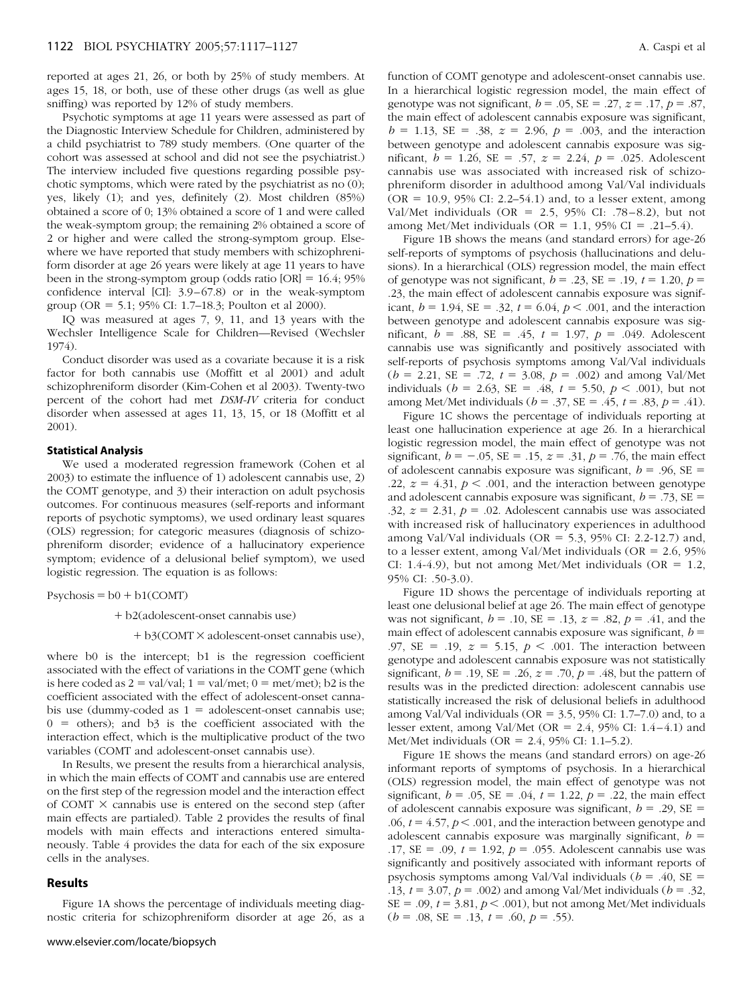reported at ages 21, 26, or both by 25% of study members. At ages 15, 18, or both, use of these other drugs (as well as glue sniffing) was reported by 12% of study members.

Psychotic symptoms at age 11 years were assessed as part of the Diagnostic Interview Schedule for Children, administered by a child psychiatrist to 789 study members. (One quarter of the cohort was assessed at school and did not see the psychiatrist.) The interview included five questions regarding possible psychotic symptoms, which were rated by the psychiatrist as no (0); yes, likely (1); and yes, definitely (2). Most children (85%) obtained a score of 0; 13% obtained a score of 1 and were called the weak-symptom group; the remaining 2% obtained a score of 2 or higher and were called the strong-symptom group. Elsewhere we have reported that study members with schizophreniform disorder at age 26 years were likely at age 11 years to have been in the strong-symptom group (odds ratio  $[OR] = 16.4$ ; 95% confidence interval  $\lbrack$  CI: 3.9–67.8) or in the weak-symptom group (OR = 5.1; 95% CI: 1.7–18.3; [Poulton et al 2000\)](#page-10-0).

IQ was measured at ages 7, 9, 11, and 13 years with the Wechsler Intelligence Scale for Children—Revised [\(Wechsler](#page-10-0) [1974\)](#page-10-0).

Conduct disorder was used as a covariate because it is a risk factor for both cannabis use [\(Moffitt et al 2001\)](#page-10-0) and adult schizophreniform disorder [\(Kim-Cohen et al 2003\)](#page-9-0). Twenty-two percent of the cohort had met *DSM-IV* criteria for conduct disorder when assessed at ages 11, 13, 15, or 18 [\(Moffitt et al](#page-10-0) [2001\)](#page-10-0).

#### **Statistical Analysis**

We used a moderated regression framework [\(Cohen et al](#page-9-0) [2003\)](#page-9-0) to estimate the influence of 1) adolescent cannabis use, 2) the COMT genotype, and 3) their interaction on adult psychosis outcomes. For continuous measures (self-reports and informant reports of psychotic symptoms), we used ordinary least squares (OLS) regression; for categoric measures (diagnosis of schizophreniform disorder; evidence of a hallucinatory experience symptom; evidence of a delusional belief symptom), we used logistic regression. The equation is as follows:

 $Psychosis = b0 + b1(COMT)$ 

- b2(adolescent-onset cannabis use)

+ b3(COMT  $\times$  adolescent-onset cannabis use),

where b0 is the intercept; b1 is the regression coefficient associated with the effect of variations in the COMT gene (which is here coded as  $2 = \text{val}/\text{val}$ ;  $1 = \text{val}/\text{met}$ ;  $0 = \text{met}/\text{met}$ ; b2 is the coefficient associated with the effect of adolescent-onset cannabis use (dummy-coded as  $1 =$  adolescent-onset cannabis use;  $0 =$  others); and b3 is the coefficient associated with the interaction effect, which is the multiplicative product of the two variables (COMT and adolescent-onset cannabis use).

In Results, we present the results from a hierarchical analysis, in which the main effects of COMT and cannabis use are entered on the first step of the regression model and the interaction effect of COMT  $\times$  cannabis use is entered on the second step (after main effects are partialed). [Table 2](#page-3-0) provides the results of final models with main effects and interactions entered simultaneously. [Table 4](#page-8-0) provides the data for each of the six exposure cells in the analyses.

#### **Results**

[Figure 1A](#page-6-0) shows the percentage of individuals meeting diagnostic criteria for schizophreniform disorder at age 26, as a

function of COMT genotype and adolescent-onset cannabis use. In a hierarchical logistic regression model, the main effect of genotype was not significant,  $b = .05$ ,  $SE = .27$ ,  $z = .17$ ,  $p = .87$ , the main effect of adolescent cannabis exposure was significant,  $b = 1.13$ , SE = .38,  $z = 2.96$ ,  $p = .003$ , and the interaction between genotype and adolescent cannabis exposure was significant,  $b = 1.26$ ,  $SE = .57$ ,  $z = 2.24$ ,  $p = .025$ . Adolescent cannabis use was associated with increased risk of schizophreniform disorder in adulthood among Val/Val individuals  $(OR = 10.9, 95\% CI: 2.2–54.1)$  and, to a lesser extent, among Val/Met individuals (OR = 2.5, 95% CI: .78-8.2), but not among Met/Met individuals (OR = 1.1, 95% CI = .21–5.4).

[Figure 1B](#page-6-0) shows the means (and standard errors) for age-26 self-reports of symptoms of psychosis (hallucinations and delusions). In a hierarchical (OLS) regression model, the main effect of genotype was not significant,  $b = .23$ ,  $SE = .19$ ,  $t = 1.20$ ,  $p =$ .23, the main effect of adolescent cannabis exposure was significant,  $b = 1.94$ ,  $SE = .32$ ,  $t = 6.04$ ,  $p < .001$ , and the interaction between genotype and adolescent cannabis exposure was significant,  $b = .88$ ,  $SE = .45$ ,  $t = 1.97$ ,  $p = .049$ . Adolescent cannabis use was significantly and positively associated with self-reports of psychosis symptoms among Val/Val individuals  $(b = 2.21, SE = .72, t = 3.08, p = .002)$  and among Val/Met individuals ( $b = 2.63$ , SE = .48,  $t = 5.50$ ,  $p < .001$ ), but not among Met/Met individuals ( $b = .37$ , SE = .45,  $t = .83$ ,  $p = .41$ ).

[Figure 1C](#page-6-0) shows the percentage of individuals reporting at least one hallucination experience at age 26. In a hierarchical logistic regression model, the main effect of genotype was not significant,  $b = -.05$ ,  $SE = .15$ ,  $z = .31$ ,  $p = .76$ , the main effect of adolescent cannabis exposure was significant,  $b = .96$ , SE = .22,  $z = 4.31$ ,  $p < .001$ , and the interaction between genotype and adolescent cannabis exposure was significant,  $b = .73$ ,  $SE =$ .32,  $z = 2.31$ ,  $p = .02$ . Adolescent cannabis use was associated with increased risk of hallucinatory experiences in adulthood among Val/Val individuals (OR =  $5.3$ , 95% CI: 2.2-12.7) and, to a lesser extent, among Val/Met individuals (OR  $= 2.6, 95\%$ CI: 1.4-4.9), but not among Met/Met individuals (OR  $= 1.2$ , 95% CI: .50-3.0).

[Figure 1D](#page-6-0) shows the percentage of individuals reporting at least one delusional belief at age 26. The main effect of genotype was not significant,  $b = .10$ ,  $SE = .13$ ,  $z = .82$ ,  $p = .41$ , and the main effect of adolescent cannabis exposure was significant,  $b =$ .97, SE = .19,  $z = 5.15$ ,  $p < .001$ . The interaction between genotype and adolescent cannabis exposure was not statistically significant,  $b = .19$ ,  $SE = .26$ ,  $z = .70$ ,  $p = .48$ , but the pattern of results was in the predicted direction: adolescent cannabis use statistically increased the risk of delusional beliefs in adulthood among Val/Val individuals (OR =  $3.5$ , 95% CI: 1.7–7.0) and, to a lesser extent, among Val/Met (OR =  $2.4$ , 95% CI:  $1.4 - 4.1$ ) and Met/Met individuals (OR =  $2.4$ , 95% CI: 1.1–5.2).

[Figure 1E](#page-6-0) shows the means (and standard errors) on age-26 informant reports of symptoms of psychosis. In a hierarchical (OLS) regression model, the main effect of genotype was not significant,  $b = .05$ ,  $SE = .04$ ,  $t = 1.22$ ,  $p = .22$ , the main effect of adolescent cannabis exposure was significant,  $b = .29$ , SE =  $.06$ ,  $t = 4.57$ ,  $p < .001$ , and the interaction between genotype and adolescent cannabis exposure was marginally significant, *b* .17, SE = .09,  $t = 1.92$ ,  $p = .055$ . Adolescent cannabis use was significantly and positively associated with informant reports of psychosis symptoms among Val/Val individuals ( $b = .40$ , SE = .13,  $t = 3.07$ ,  $p = .002$ ) and among Val/Met individuals ( $b = .32$ ,  $SE = .09$ ,  $t = 3.81$ ,  $p < .001$ ), but not among Met/Met individuals  $(b = .08, SE = .13, t = .60, p = .55).$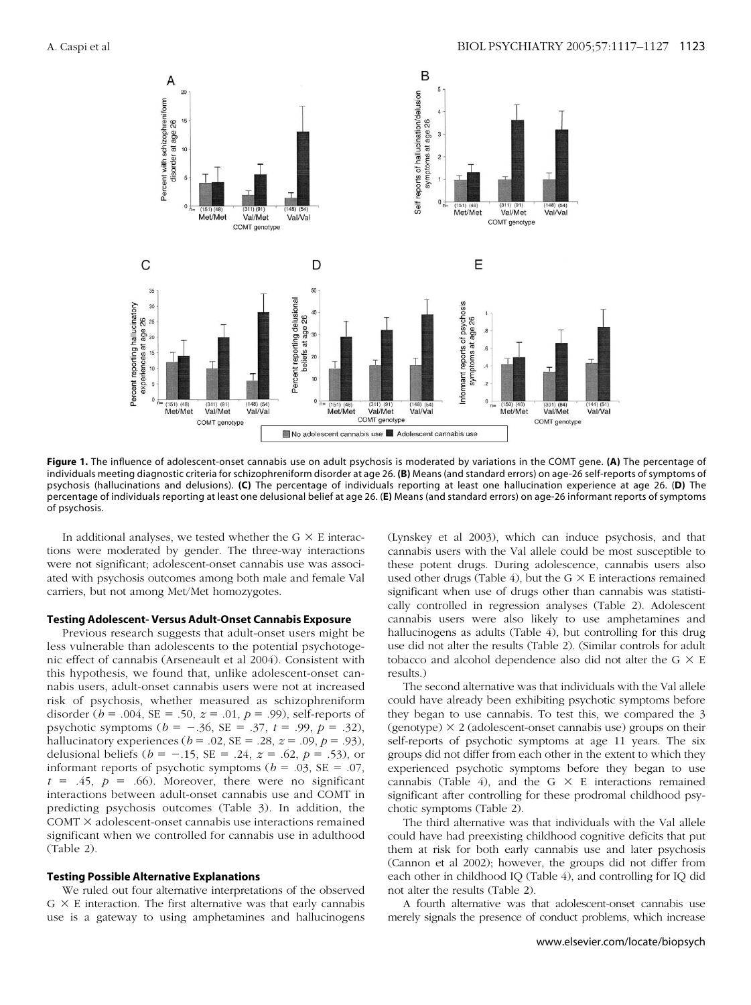<span id="page-6-0"></span>

**Figure 1.** The influence of adolescent-onset cannabis use on adult psychosis is moderated by variations in the COMT gene. **(A)** The percentage of individuals meeting diagnostic criteria for schizophreniform disorder at age 26. **(B)** Means (and standard errors) on age-26 self-reports of symptoms of psychosis (hallucinations and delusions). **(C)** The percentage of individuals reporting at least one hallucination experience at age 26. (**D)** The percentage of individuals reporting at least one delusional belief at age 26. (**E)** Means (and standard errors) on age-26 informant reports of symptoms of psychosis.

In additional analyses, we tested whether the  $G \times E$  interactions were moderated by gender. The three-way interactions were not significant; adolescent-onset cannabis use was associated with psychosis outcomes among both male and female Val carriers, but not among Met/Met homozygotes.

#### **Testing Adolescent- Versus Adult-Onset Cannabis Exposure**

Previous research suggests that adult-onset users might be less vulnerable than adolescents to the potential psychotogenic effect of cannabis [\(Arseneault et al 2004\)](#page-9-0). Consistent with this hypothesis, we found that, unlike adolescent-onset cannabis users, adult-onset cannabis users were not at increased risk of psychosis, whether measured as schizophreniform disorder ( $b = .004$ , SE = .50,  $z = .01$ ,  $p = .99$ ), self-reports of psychotic symptoms ( $b = -.36$ , SE = .37,  $t = .99$ ,  $p = .32$ ), hallucinatory experiences ( $b = .02$ ,  $SE = .28$ ,  $z = .09$ ,  $p = .93$ ), delusional beliefs ( $b = -.15$ , SE = .24,  $z = .62$ ,  $p = .53$ ), or informant reports of psychotic symptoms ( $b = .03$ , SE = .07,  $t = .45$ ,  $p = .66$ ). Moreover, there were no significant interactions between adult-onset cannabis use and COMT in predicting psychosis outcomes [\(Table 3\)](#page-7-0). In addition, the  $COMT \times a$ dolescent-onset cannabis use interactions remained significant when we controlled for cannabis use in adulthood [\(Table 2\)](#page-3-0).

#### **Testing Possible Alternative Explanations**

We ruled out four alternative interpretations of the observed  $G \times E$  interaction. The first alternative was that early cannabis use is a gateway to using amphetamines and hallucinogens [\(Lynskey et al 2003\)](#page-10-0), which can induce psychosis, and that cannabis users with the Val allele could be most susceptible to these potent drugs. During adolescence, cannabis users also used other drugs [\(Table 4\)](#page-8-0), but the  $G \times E$  interactions remained significant when use of drugs other than cannabis was statistically controlled in regression analyses [\(Table 2\)](#page-3-0). Adolescent cannabis users were also likely to use amphetamines and hallucinogens as adults [\(Table 4\)](#page-8-0), but controlling for this drug use did not alter the results [\(Table 2\)](#page-3-0). (Similar controls for adult tobacco and alcohol dependence also did not alter the  $G \times E$ results.)

The second alternative was that individuals with the Val allele could have already been exhibiting psychotic symptoms before they began to use cannabis. To test this, we compared the 3 (genotype)  $\times$  2 (adolescent-onset cannabis use) groups on their self-reports of psychotic symptoms at age 11 years. The six groups did not differ from each other in the extent to which they experienced psychotic symptoms before they began to use cannabis [\(Table 4\)](#page-8-0), and the G  $\times$  E interactions remained significant after controlling for these prodromal childhood psychotic symptoms [\(Table 2\)](#page-3-0).

The third alternative was that individuals with the Val allele could have had preexisting childhood cognitive deficits that put them at risk for both early cannabis use and later psychosis [\(Cannon et al 2002\)](#page-9-0); however, the groups did not differ from each other in childhood IQ [\(Table 4\)](#page-8-0), and controlling for IQ did not alter the results [\(Table 2\)](#page-3-0).

A fourth alternative was that adolescent-onset cannabis use merely signals the presence of conduct problems, which increase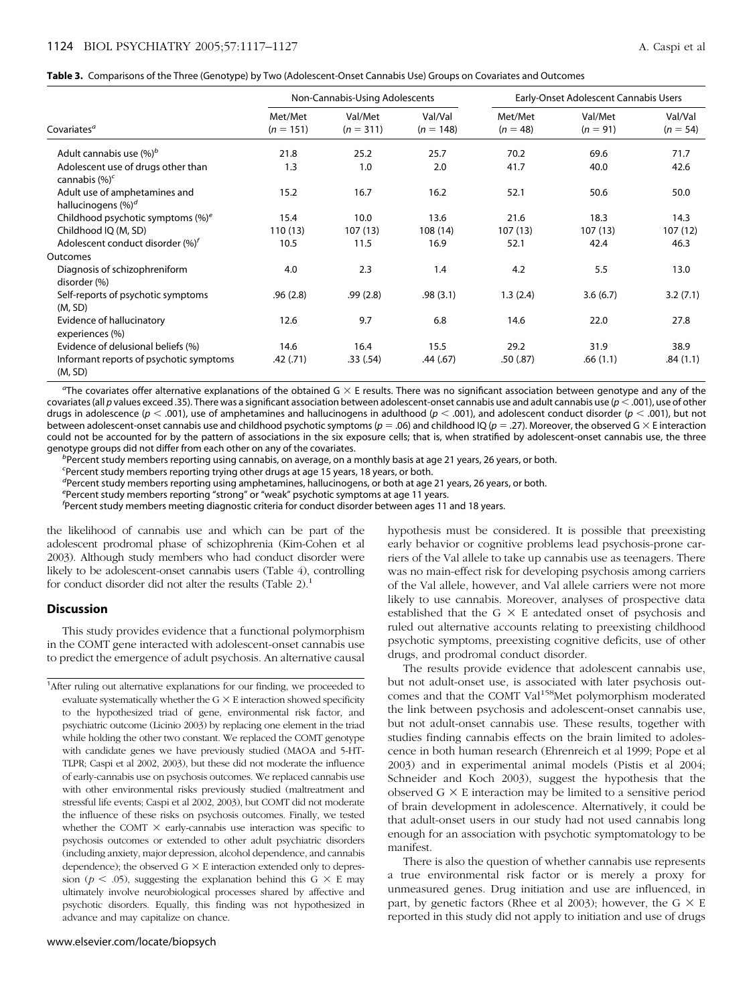<span id="page-7-0"></span>

|  |  | Table 3. Comparisons of the Three (Genotype) by Two (Adolescent-Onset Cannabis Use) Groups on Covariates and Outcomes |
|--|--|-----------------------------------------------------------------------------------------------------------------------|
|  |  |                                                                                                                       |

|                                                         |                        | Non-Cannabis-Using Adolescents |                        | Early-Onset Adolescent Cannabis Users |                       |                       |  |  |  |
|---------------------------------------------------------|------------------------|--------------------------------|------------------------|---------------------------------------|-----------------------|-----------------------|--|--|--|
| Covariates <sup>a</sup>                                 | Met/Met<br>$(n = 151)$ | Val/Met<br>$(n = 311)$         | Val/Val<br>$(n = 148)$ | Met/Met<br>$(n = 48)$                 | Val/Met<br>$(n = 91)$ | Val/Val<br>$(n = 54)$ |  |  |  |
| Adult cannabis use $(\%)^b$                             | 21.8                   | 25.2                           | 25.7                   | 70.2                                  | 69.6                  | 71.7                  |  |  |  |
| Adolescent use of drugs other than<br>cannabis $(\%)^c$ | 1.3                    | 1.0                            | 2.0                    | 41.7                                  | 40.0                  | 42.6                  |  |  |  |
| Adult use of amphetamines and<br>hallucinogens $(\%)^d$ | 15.2                   | 16.7                           | 16.2                   | 52.1                                  | 50.6                  | 50.0                  |  |  |  |
| Childhood psychotic symptoms (%) <sup>e</sup>           | 15.4                   | 10.0                           | 13.6                   | 21.6                                  | 18.3                  | 14.3                  |  |  |  |
| Childhood IQ (M, SD)                                    | 110(13)                | 107(13)                        | 108 (14)               | 107 (13)                              | 107(13)               | 107 (12)              |  |  |  |
| Adolescent conduct disorder (%) <sup>f</sup>            | 10.5                   | 11.5                           | 16.9                   | 52.1                                  | 42.4                  | 46.3                  |  |  |  |
| Outcomes                                                |                        |                                |                        |                                       |                       |                       |  |  |  |
| Diagnosis of schizophreniform<br>disorder (%)           | 4.0                    | 2.3                            | 1.4                    | 4.2                                   | 5.5                   | 13.0                  |  |  |  |
| Self-reports of psychotic symptoms<br>(M, SD)           | .96(2.8)               | .99(2.8)                       | .98(3.1)               | 1.3(2.4)                              | 3.6(6.7)              | 3.2(7.1)              |  |  |  |
| Evidence of hallucinatory<br>experiences (%)            | 12.6                   | 9.7                            | 6.8                    | 14.6                                  | 22.0                  | 27.8                  |  |  |  |
| Evidence of delusional beliefs (%)                      | 14.6                   | 16.4                           | 15.5                   | 29.2                                  | 31.9                  | 38.9                  |  |  |  |
| Informant reports of psychotic symptoms<br>(M, SD)      | .42 (.71)              | .33(.54)                       | .44(.67)               | .50 (.87)                             | .66(1.1)              | .84(1.1)              |  |  |  |

 $a$ The covariates offer alternative explanations of the obtained G  $\times$  E results. There was no significant association between genotype and any of the covariates (all *p* values exceed .35). There was a significant association between adolescent-onset cannabis use and adult cannabis use (*p* .001), use of other drugs in adolescence ( $p$  < .001), use of amphetamines and hallucinogens in adulthood ( $p$  < .001), and adolescent conduct disorder ( $p$  < .001), but not between adolescent-onset cannabis use and childhood psychotic symptoms ( $p = .06$ ) and childhood IQ ( $p = .27$ ). Moreover, the observed G  $\times$  E interaction could not be accounted for by the pattern of associations in the six exposure cells; that is, when stratified by adolescent-onset cannabis use, the three genotype groups did not differ from each other on any of the covariates. *<sup>b</sup>*

 ${}^b$ Percent study members reporting using cannabis, on average, on a monthly basis at age 21 years, 26 years, or both.

*c* Percent study members reporting trying other drugs at age 15 years, 18 years, or both.

*d* Percent study members reporting using amphetamines, hallucinogens, or both at age 21 years, 26 years, or both.

*e* Percent study members reporting "strong" or "weak" psychotic symptoms at age 11 years.

*f* Percent study members meeting diagnostic criteria for conduct disorder between ages 11 and 18 years.

the likelihood of cannabis use and which can be part of the adolescent prodromal phase of schizophrenia [\(Kim-Cohen et al](#page-9-0) [2003\)](#page-9-0). Although study members who had conduct disorder were likely to be adolescent-onset cannabis users [\(Table 4\)](#page-8-0), controlling for conduct disorder did not alter the results [\(Table 2\)](#page-3-0).<sup>1</sup>

## **Discussion**

This study provides evidence that a functional polymorphism in the COMT gene interacted with adolescent-onset cannabis use to predict the emergence of adult psychosis. An alternative causal

<sup>1</sup>After ruling out alternative explanations for our finding, we proceeded to evaluate systematically whether the  $G \times E$  interaction showed specificity to the hypothesized triad of gene, environmental risk factor, and psychiatric outcome (Licinio 2003) by replacing one element in the triad while holding the other two constant. We replaced the COMT genotype with candidate genes we have previously studied (MAOA and 5-HT-TLPR; Caspi et al 2002, 2003), but these did not moderate the influence of early-cannabis use on psychosis outcomes. We replaced cannabis use with other environmental risks previously studied (maltreatment and stressful life events; Caspi et al 2002, 2003), but COMT did not moderate the influence of these risks on psychosis outcomes. Finally, we tested whether the COMT  $\times$  early-cannabis use interaction was specific to psychosis outcomes or extended to other adult psychiatric disorders (including anxiety, major depression, alcohol dependence, and cannabis dependence); the observed  $G \times E$  interaction extended only to depression ( $p < .05$ ), suggesting the explanation behind this G  $\times$  E may ultimately involve neurobiological processes shared by affective and psychotic disorders. Equally, this finding was not hypothesized in advance and may capitalize on chance.

hypothesis must be considered. It is possible that preexisting early behavior or cognitive problems lead psychosis-prone carriers of the Val allele to take up cannabis use as teenagers. There was no main-effect risk for developing psychosis among carriers of the Val allele, however, and Val allele carriers were not more likely to use cannabis. Moreover, analyses of prospective data established that the  $G \times E$  antedated onset of psychosis and ruled out alternative accounts relating to preexisting childhood psychotic symptoms, preexisting cognitive deficits, use of other drugs, and prodromal conduct disorder.

The results provide evidence that adolescent cannabis use, but not adult-onset use, is associated with later psychosis outcomes and that the COMT Val<sup>158</sup>Met polymorphism moderated the link between psychosis and adolescent-onset cannabis use, but not adult-onset cannabis use. These results, together with studies finding cannabis effects on the brain limited to adolescence in both human research [\(Ehrenreich et al 1999;](#page-9-0) [Pope et al](#page-10-0) [2003\)](#page-10-0) and in experimental animal models [\(Pistis et al 2004;](#page-10-0) [Schneider and Koch 2003\)](#page-10-0), suggest the hypothesis that the observed  $G \times E$  interaction may be limited to a sensitive period of brain development in adolescence. Alternatively, it could be that adult-onset users in our study had not used cannabis long enough for an association with psychotic symptomatology to be manifest.

There is also the question of whether cannabis use represents a true environmental risk factor or is merely a proxy for unmeasured genes. Drug initiation and use are influenced, in part, by genetic factors [\(Rhee et al 2003\)](#page-10-0); however, the  $G \times E$ reported in this study did not apply to initiation and use of drugs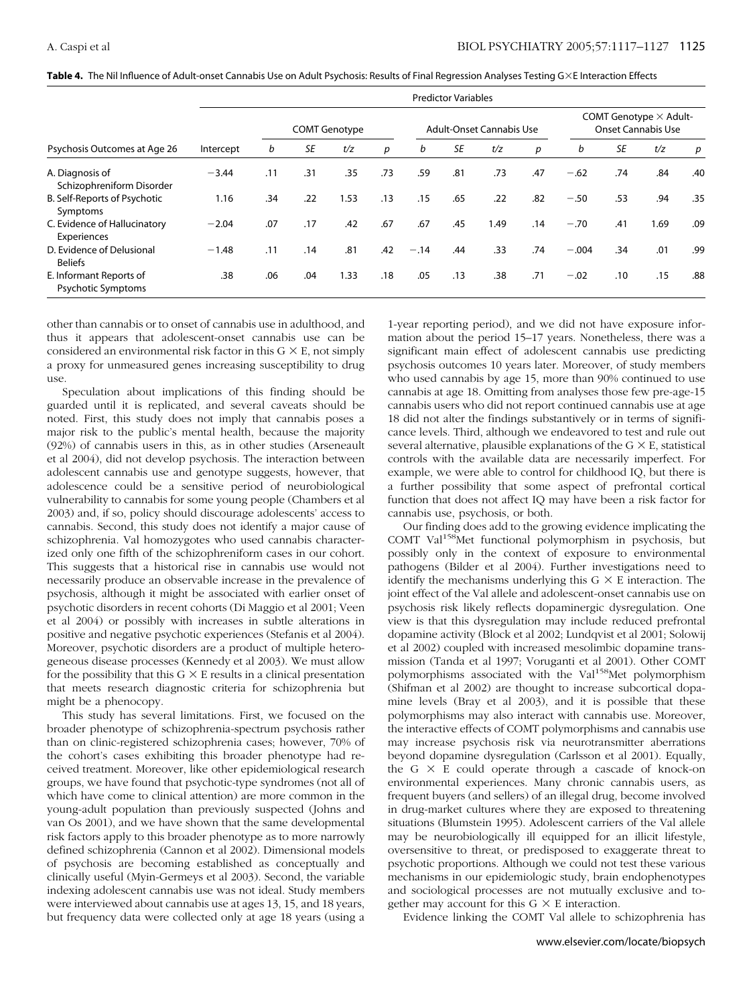<span id="page-8-0"></span>

|  |  |  |  | <b>Table 4.</b> The Nil Influence of Adult-onset Cannabis Use on Adult Psychosis: Results of Final Regression Analyses Testing G×E Interaction Effects |
|--|--|--|--|--------------------------------------------------------------------------------------------------------------------------------------------------------|
|--|--|--|--|--------------------------------------------------------------------------------------------------------------------------------------------------------|

|                                               | Predictor variables |     |           |                      |     |        |     |                                 |     |                                                            |           |      |     |  |
|-----------------------------------------------|---------------------|-----|-----------|----------------------|-----|--------|-----|---------------------------------|-----|------------------------------------------------------------|-----------|------|-----|--|
|                                               |                     |     |           | <b>COMT Genotype</b> |     |        |     | <b>Adult-Onset Cannabis Use</b> |     | COMT Genotype $\times$ Adult-<br><b>Onset Cannabis Use</b> |           |      |     |  |
| Psychosis Outcomes at Age 26                  | Intercept           | b   | <b>SE</b> | t/z                  | p   | b      | SE  | t/z                             | p   | b                                                          | <b>SE</b> | t/z  | p   |  |
| A. Diagnosis of<br>Schizophreniform Disorder  | $-3.44$             | .11 | .31       | .35                  | .73 | .59    | .81 | .73                             | .47 | $-.62$                                                     | .74       | .84  | .40 |  |
| B. Self-Reports of Psychotic<br>Symptoms      | 1.16                | .34 | .22       | 1.53                 | .13 | .15    | .65 | .22                             | .82 | $-.50$                                                     | .53       | .94  | .35 |  |
| C. Evidence of Hallucinatory<br>Experiences   | $-2.04$             | .07 | .17       | .42                  | .67 | .67    | .45 | 1.49                            | .14 | $-.70$                                                     | .41       | 1.69 | .09 |  |
| D. Evidence of Delusional<br><b>Beliefs</b>   | $-1.48$             | .11 | .14       | .81                  | .42 | $-.14$ | .44 | .33                             | .74 | $-.004$                                                    | .34       | .01  | .99 |  |
| E. Informant Reports of<br>Psychotic Symptoms | .38                 | .06 | .04       | 1.33                 | .18 | .05    | .13 | .38                             | .71 | $-.02$                                                     | .10       | .15  | .88 |  |

Predictor Variables

other than cannabis or to onset of cannabis use in adulthood, and thus it appears that adolescent-onset cannabis use can be considered an environmental risk factor in this  $G \times E$ , not simply a proxy for unmeasured genes increasing susceptibility to drug use.

Speculation about implications of this finding should be guarded until it is replicated, and several caveats should be noted. First, this study does not imply that cannabis poses a major risk to the public's mental health, because the majority (92%) of cannabis users in this, as in other studies [\(Arseneault](#page-9-0) [et al 2004\)](#page-9-0), did not develop psychosis. The interaction between adolescent cannabis use and genotype suggests, however, that adolescence could be a sensitive period of neurobiological vulnerability to cannabis for some young people [\(Chambers et al](#page-9-0) [2003\)](#page-9-0) and, if so, policy should discourage adolescents' access to cannabis. Second, this study does not identify a major cause of schizophrenia. Val homozygotes who used cannabis characterized only one fifth of the schizophreniform cases in our cohort. This suggests that a historical rise in cannabis use would not necessarily produce an observable increase in the prevalence of psychosis, although it might be associated with earlier onset of psychotic disorders in recent cohorts [\(Di Maggio et al 2001;](#page-9-0) [Veen](#page-10-0) [et al 2004\)](#page-10-0) or possibly with increases in subtle alterations in positive and negative psychotic experiences [\(Stefanis et al 2004\)](#page-10-0). Moreover, psychotic disorders are a product of multiple heterogeneous disease processes [\(Kennedy et al 2003\)](#page-9-0). We must allow for the possibility that this  $G \times E$  results in a clinical presentation that meets research diagnostic criteria for schizophrenia but might be a phenocopy.

This study has several limitations. First, we focused on the broader phenotype of schizophrenia-spectrum psychosis rather than on clinic-registered schizophrenia cases; however, 70% of the cohort's cases exhibiting this broader phenotype had received treatment. Moreover, like other epidemiological research groups, we have found that psychotic-type syndromes (not all of which have come to clinical attention) are more common in the young-adult population than previously suspected [\(Johns and](#page-9-0) [van Os 2001\)](#page-9-0), and we have shown that the same developmental risk factors apply to this broader phenotype as to more narrowly defined schizophrenia [\(Cannon et al 2002\)](#page-9-0). Dimensional models of psychosis are becoming established as conceptually and clinically useful [\(Myin-Germeys et al 2003\)](#page-10-0). Second, the variable indexing adolescent cannabis use was not ideal. Study members were interviewed about cannabis use at ages 13, 15, and 18 years, but frequency data were collected only at age 18 years (using a

1-year reporting period), and we did not have exposure information about the period 15–17 years. Nonetheless, there was a significant main effect of adolescent cannabis use predicting psychosis outcomes 10 years later. Moreover, of study members who used cannabis by age 15, more than 90% continued to use cannabis at age 18. Omitting from analyses those few pre-age-15 cannabis users who did not report continued cannabis use at age 18 did not alter the findings substantively or in terms of significance levels. Third, although we endeavored to test and rule out several alternative, plausible explanations of the  $G \times E$ , statistical controls with the available data are necessarily imperfect. For example, we were able to control for childhood IQ, but there is a further possibility that some aspect of prefrontal cortical function that does not affect IQ may have been a risk factor for cannabis use, psychosis, or both.

Our finding does add to the growing evidence implicating the COMT Val<sup>158</sup>Met functional polymorphism in psychosis, but possibly only in the context of exposure to environmental pathogens [\(Bilder et al 2004\)](#page-9-0). Further investigations need to identify the mechanisms underlying this  $G \times E$  interaction. The joint effect of the Val allele and adolescent-onset cannabis use on psychosis risk likely reflects dopaminergic dysregulation. One view is that this dysregulation may include reduced prefrontal dopamine activity [\(Block et al 2002;](#page-9-0) [Lundqvist et al 2001; Solowij](#page-10-0) [et al 2002\)](#page-10-0) coupled with increased mesolimbic dopamine transmission [\(Tanda et al 1997; Voruganti et al 2001\)](#page-10-0). Other COMT polymorphisms associated with the Val<sup>158</sup>Met polymorphism [\(Shifman et al 2002\)](#page-10-0) are thought to increase subcortical dopamine levels [\(Bray et al 2003\)](#page-9-0), and it is possible that these polymorphisms may also interact with cannabis use. Moreover, the interactive effects of COMT polymorphisms and cannabis use may increase psychosis risk via neurotransmitter aberrations beyond dopamine dysregulation [\(Carlsson et al 2001\)](#page-9-0). Equally, the  $G \times E$  could operate through a cascade of knock-on environmental experiences. Many chronic cannabis users, as frequent buyers (and sellers) of an illegal drug, become involved in drug-market cultures where they are exposed to threatening situations [\(Blumstein 1995\)](#page-9-0). Adolescent carriers of the Val allele may be neurobiologically ill equipped for an illicit lifestyle, oversensitive to threat, or predisposed to exaggerate threat to psychotic proportions. Although we could not test these various mechanisms in our epidemiologic study, brain endophenotypes and sociological processes are not mutually exclusive and together may account for this  $G \times E$  interaction.

Evidence linking the COMT Val allele to schizophrenia has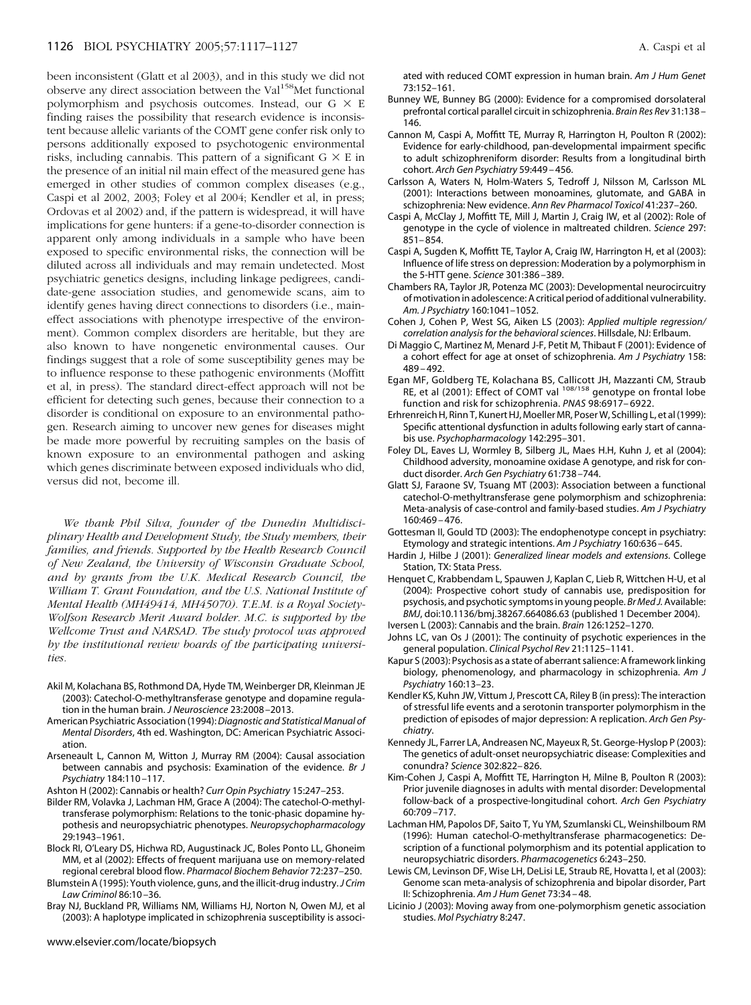<span id="page-9-0"></span>been inconsistent (Glatt et al 2003), and in this study we did not observe any direct association between the Val<sup>158</sup>Met functional polymorphism and psychosis outcomes. Instead, our  $G \times E$ finding raises the possibility that research evidence is inconsistent because allelic variants of the COMT gene confer risk only to persons additionally exposed to psychotogenic environmental risks, including cannabis. This pattern of a significant  $G \times E$  in the presence of an initial nil main effect of the measured gene has emerged in other studies of common complex diseases (e.g., Caspi et al 2002, 2003; Foley et al 2004; Kendler et al, in press; [Ordovas et al 2002\)](#page-10-0) and, if the pattern is widespread, it will have implications for gene hunters: if a gene-to-disorder connection is apparent only among individuals in a sample who have been exposed to specific environmental risks, the connection will be diluted across all individuals and may remain undetected. Most psychiatric genetics designs, including linkage pedigrees, candidate-gene association studies, and genomewide scans, aim to identify genes having direct connections to disorders (i.e., maineffect associations with phenotype irrespective of the environment). Common complex disorders are heritable, but they are also known to have nongenetic environmental causes. Our findings suggest that a role of some susceptibility genes may be to influence response to these pathogenic environments [\(Moffitt](#page-10-0) [et al, in press\)](#page-10-0). The standard direct-effect approach will not be efficient for detecting such genes, because their connection to a disorder is conditional on exposure to an environmental pathogen. Research aiming to uncover new genes for diseases might be made more powerful by recruiting samples on the basis of known exposure to an environmental pathogen and asking which genes discriminate between exposed individuals who did, versus did not, become ill.

*We thank Phil Silva, founder of the Dunedin Multidisciplinary Health and Development Study, the Study members, their families, and friends. Supported by the Health Research Council of New Zealand, the University of Wisconsin Graduate School, and by grants from the U.K. Medical Research Council, the William T. Grant Foundation, and the U.S. National Institute of Mental Health (MH49414, MH45070). T.E.M. is a Royal Society-Wolfson Research Merit Award holder. M.C. is supported by the Wellcome Trust and NARSAD. The study protocol was approved by the institutional review boards of the participating universities.*

- Akil M, Kolachana BS, Rothmond DA, Hyde TM, Weinberger DR, Kleinman JE (2003): Catechol-O-methyltransferase genotype and dopamine regulation in the human brain. *J Neuroscience* 23:2008 –2013.
- American Psychiatric Association (1994):*Diagnostic and Statistical Manual of Mental Disorders*, 4th ed. Washington, DC: American Psychiatric Association.
- Arseneault L, Cannon M, Witton J, Murray RM (2004): Causal association between cannabis and psychosis: Examination of the evidence. *Br J Psychiatry* 184:110 –117.
- Ashton H (2002): Cannabis or health? *Curr Opin Psychiatry* 15:247–253.
- Bilder RM, Volavka J, Lachman HM, Grace A (2004): The catechol-O-methyltransferase polymorphism: Relations to the tonic-phasic dopamine hypothesis and neuropsychiatric phenotypes. *Neuropsychopharmacology* 29:1943–1961.
- Block RI, O'Leary DS, Hichwa RD, Augustinack JC, Boles Ponto LL, Ghoneim MM, et al (2002): Effects of frequent marijuana use on memory-related regional cerebral blood flow. *Pharmacol Biochem Behavior* 72:237–250.
- Blumstein A (1995): Youth violence, guns, and the illicit-drug industry.*J Crim Law Criminol* 86:10 –36.
- Bray NJ, Buckland PR, Williams NM, Williams HJ, Norton N, Owen MJ, et al (2003): A haplotype implicated in schizophrenia susceptibility is associ-

ated with reduced COMT expression in human brain. *Am J Hum Genet* 73:152–161.

- Bunney WE, Bunney BG (2000): Evidence for a compromised dorsolateral prefrontal cortical parallel circuit in schizophrenia. *Brain Res Rev* 31:138 – 146.
- Cannon M, Caspi A, Moffitt TE, Murray R, Harrington H, Poulton R (2002): Evidence for early-childhood, pan-developmental impairment specific to adult schizophreniform disorder: Results from a longitudinal birth cohort. *Arch Gen Psychiatry* 59:449 – 456.
- Carlsson A, Waters N, Holm-Waters S, Tedroff J, Nilsson M, Carlsson ML (2001): Interactions between monoamines, glutomate, and GABA in schizophrenia: New evidence. *Ann Rev Pharmacol Toxicol* 41:237–260.
- Caspi A, McClay J, Moffitt TE, Mill J, Martin J, Craig IW, et al (2002): Role of genotype in the cycle of violence in maltreated children. *Science* 297: 851– 854.
- Caspi A, Sugden K, Moffitt TE, Taylor A, Craig IW, Harrington H, et al (2003): Influence of life stress on depression: Moderation by a polymorphism in the 5-HTT gene. *Science* 301:386 –389.
- Chambers RA, Taylor JR, Potenza MC (2003): Developmental neurocircuitry of motivation in adolescence: A critical period of additional vulnerability. *Am. J Psychiatry* 160:1041–1052.
- Cohen J, Cohen P, West SG, Aiken LS (2003): *Applied multiple regression/ correlation analysis for the behavioral sciences*. Hillsdale, NJ: Erlbaum.
- Di Maggio C, Martinez M, Menard J-F, Petit M, Thibaut F (2001): Evidence of a cohort effect for age at onset of schizophrenia. *Am J Psychiatry* 158: 489 – 492.
- Egan MF, Goldberg TE, Kolachana BS, Callicott JH, Mazzanti CM, Straub RE, et al (2001): Effect of COMT val 108/158 genotype on frontal lobe function and risk for schizophrenia. *PNAS* 98:6917– 6922.
- Erhrenreich H, Rinn T, Kunert HJ, Moeller MR, Poser W, Schilling L, et al (1999): Specific attentional dysfunction in adults following early start of cannabis use. *Psychopharmacology* 142:295–301.
- Foley DL, Eaves LJ, Wormley B, Silberg JL, Maes H.H, Kuhn J, et al (2004): Childhood adversity, monoamine oxidase A genotype, and risk for conduct disorder. *Arch Gen Psychiatry* 61:738 –744.
- Glatt SJ, Faraone SV, Tsuang MT (2003): Association between a functional catechol-O-methyltransferase gene polymorphism and schizophrenia: Meta-analysis of case-control and family-based studies. *Am J Psychiatry* 160:469 – 476.
- Gottesman II, Gould TD (2003): The endophenotype concept in psychiatry: Etymology and strategic intentions. *Am J Psychiatry* 160:636 – 645.
- Hardin J, Hilbe J (2001): *Generalized linear models and extensions*. College Station, TX: Stata Press.
- Henquet C, Krabbendam L, Spauwen J, Kaplan C, Lieb R, Wittchen H-U, et al (2004): Prospective cohort study of cannabis use, predisposition for psychosis, and psychotic symptoms in young people. *Br Med J.*Available: *BMJ*, doi:10.1136/bmj.38267.664086.63 (published 1 December 2004).
- Iversen L (2003): Cannabis and the brain. *Brain* 126:1252–1270.
- Johns LC, van Os J (2001): The continuity of psychotic experiences in the general population. *Clinical Psychol Rev* 21:1125–1141.
- Kapur S (2003): Psychosis as a state of aberrant salience: A framework linking biology, phenomenology, and pharmacology in schizophrenia. *Am J Psychiatry* 160:13–23.
- Kendler KS, Kuhn JW, Vittum J, Prescott CA, Riley B (in press): The interaction of stressful life events and a serotonin transporter polymorphism in the prediction of episodes of major depression: A replication. *Arch Gen Psychiatry*.
- Kennedy JL, Farrer LA, Andreasen NC, Mayeux R, St. George-Hyslop P (2003): The genetics of adult-onset neuropsychiatric disease: Complexities and conundra? *Science* 302:822– 826.
- Kim-Cohen J, Caspi A, Moffitt TE, Harrington H, Milne B, Poulton R (2003): Prior juvenile diagnoses in adults with mental disorder: Developmental follow-back of a prospective-longitudinal cohort. *Arch Gen Psychiatry* 60:709 –717.
- Lachman HM, Papolos DF, Saito T, Yu YM, Szumlanski CL, Weinshilboum RM (1996): Human catechol-O-methyltransferase pharmacogenetics: Description of a functional polymorphism and its potential application to neuropsychiatric disorders. *Pharmacogenetics* 6:243–250.
- Lewis CM, Levinson DF, Wise LH, DeLisi LE, Straub RE, Hovatta I, et al (2003): Genome scan meta-analysis of schizophrenia and bipolar disorder, Part II: Schizophrenia. *Am J Hum Genet* 73:34 – 48.
- Licinio J (2003): Moving away from one-polymorphism genetic association studies. *Mol Psychiatry* 8:247.